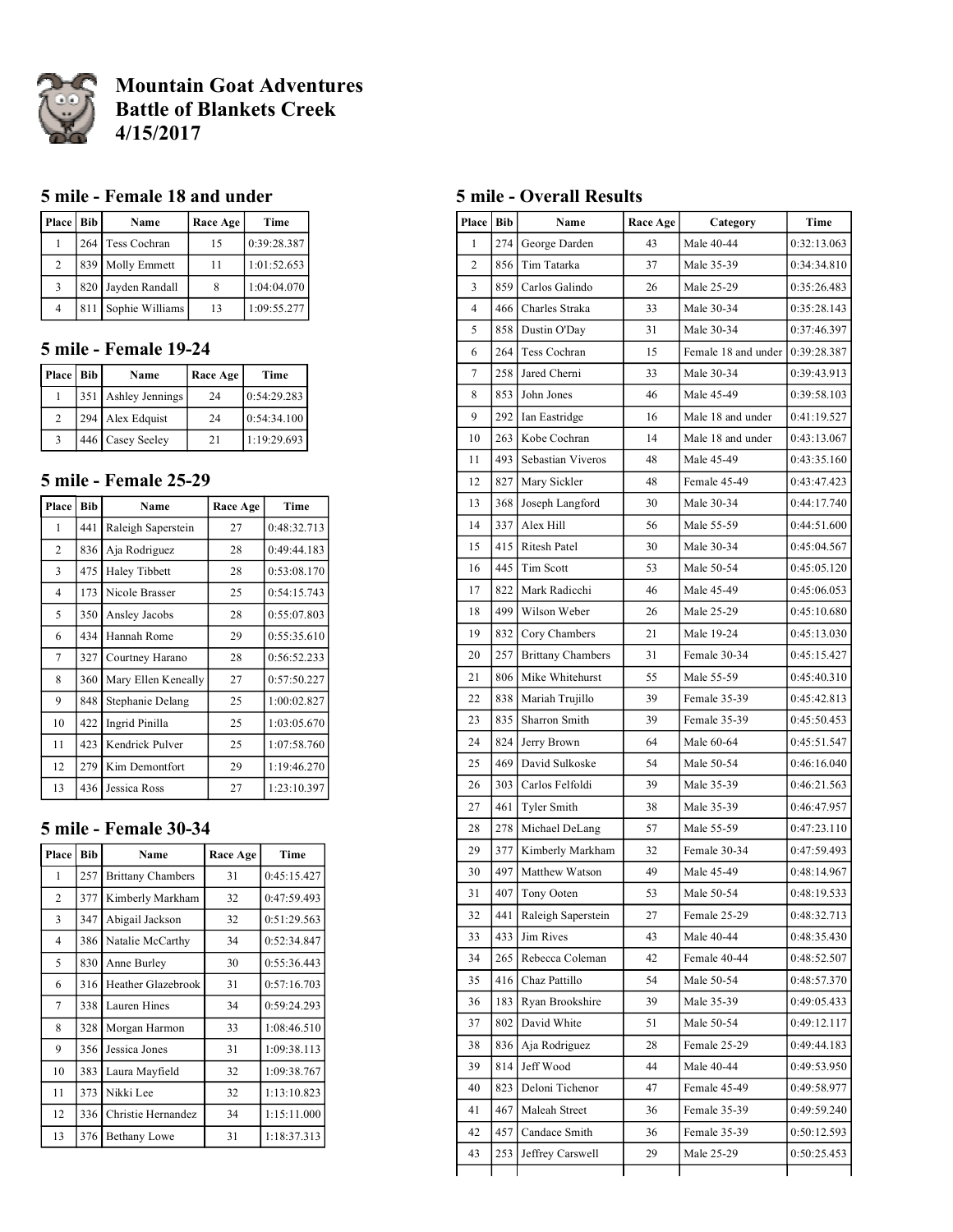

# **Mountain Goat Adventures Battle of Blankets Creek 4/15/2017**

### **5 mile - Female 18 and under**

| Place   Bib    |     | Name               | Race Age | Time        |
|----------------|-----|--------------------|----------|-------------|
|                |     | 264 Tess Cochran   | 15       | 0:39:28.387 |
| $\overline{2}$ |     | 839 Molly Emmett   | 11       | 1:01:52.653 |
| $\mathbf{3}$   |     | 820 Jayden Randall |          | 1:04:04.070 |
| $\overline{4}$ | 811 | Sophie Williams    | 13       | 1:09:55.277 |

## **5 mile - Female 19-24**

| Place   Bib    | Name                | Race Age | Time        |
|----------------|---------------------|----------|-------------|
|                | 351 Ashley Jennings | 24       | 0:54:29.283 |
| $\mathfrak{D}$ | 294 Alex Edquist    | 24       | 0:54:34.100 |
|                | 446 Casey Seeley    | 21       | 1:19:29.693 |

#### **5 mile - Female 25-29**

| Place          | <b>Bib</b> | Name                | Race Age | Time        |
|----------------|------------|---------------------|----------|-------------|
| 1              | 441        | Raleigh Saperstein  | 27       | 0:48:32.713 |
| $\mathfrak{D}$ | 836        | Aja Rodriguez       | 28       | 0:49:44.183 |
| 3              | 475        | Haley Tibbett       | 28       | 0:53:08.170 |
| $\overline{4}$ | 173        | Nicole Brasser      | 25       | 0:54:15.743 |
| 5              | 350        | Ansley Jacobs       | 28       | 0:55:07.803 |
| 6              | 434        | Hannah Rome         | 29       | 0:55:35.610 |
| 7              | 327        | Courtney Harano     | 28       | 0:56:52.233 |
| 8              | 360        | Mary Ellen Keneally | 27       | 0:57:50.227 |
| 9              | 848        | Stephanie Delang    | 25       | 1:00:02.827 |
| 10             | 422        | Ingrid Pinilla      | 25       | 1:03:05.670 |
| 11             | 423        | Kendrick Pulver     | 25       | 1:07:58.760 |
| 12             | 279        | Kim Demontfort      | 29       | 1:19:46.270 |
| 13             | 436        | Jessica Ross        | 27       | 1:23:10.397 |

## **5 mile - Female 30-34**

| Place          | <b>Bib</b> | Name                     | Race Age | Time        |
|----------------|------------|--------------------------|----------|-------------|
| 1              | 257        | <b>Brittany Chambers</b> | 31       | 0:45:15.427 |
| $\overline{c}$ | 377        | Kimberly Markham         | 32       | 0:47:59.493 |
| 3              | 347        | Abigail Jackson          | 32       | 0:51:29.563 |
| $\overline{4}$ | 386        | Natalie McCarthy         | 34       | 0:52:34.847 |
| 5              | 830        | Anne Burley              | 30       | 0:55:36.443 |
| 6              | 316        | Heather Glazebrook       | 31       | 0:57:16.703 |
| 7              | 338        | Lauren Hines             | 34       | 0:59:24.293 |
| 8              | 328        | Morgan Harmon            | 33       | 1:08:46.510 |
| 9              | 356        | Jessica Jones            | 31       | 1:09:38.113 |
| 10             | 383        | Laura Mayfield           | 32       | 1:09:38.767 |
| 11             | 373        | Nikki Lee                | 32       | 1:13:10.823 |
| 12             | 336        | Christie Hernandez       | 34       | 1:15:11.000 |
| 13             | 376        | <b>Bethany Lowe</b>      | 31       | 1:18:37.313 |

#### **5 mile - Overall Results**

| Place          | <b>Bib</b> | Name                     | Race Age         | Category            | Time        |
|----------------|------------|--------------------------|------------------|---------------------|-------------|
| 1              | 274        | George Darden            | 43               | Male 40-44          | 0:32:13.063 |
| $\overline{c}$ | 856        | Tim Tatarka              | 37               | Male 35-39          | 0:34:34.810 |
| 3              | 859        | Carlos Galindo           | 26               | Male 25-29          | 0:35:26.483 |
| $\overline{4}$ | 466        | Charles Straka           | 33               | Male 30-34          | 0:35:28.143 |
| 5              | 858        | Dustin O'Day             | 31               | Male 30-34          | 0:37:46.397 |
| 6              | 264        | Tess Cochran             | 15               | Female 18 and under | 0:39:28.387 |
| 7              | 258        | Jared Cherni             | 33               | Male 30-34          | 0:39:43.913 |
| 8              | 853        | John Jones               | 46               | Male 45-49          | 0:39:58.103 |
| 9              | 292        | Ian Eastridge            | 16               | Male 18 and under   | 0:41:19.527 |
| 10             | 263        | Kobe Cochran             | 14               | Male 18 and under   | 0:43:13.067 |
| 11             | 493        | Sebastian Viveros        | 48               | Male 45-49          | 0:43:35.160 |
| 12             | 827        | Mary Sickler             | 48               | Female 45-49        | 0:43:47.423 |
| 13             | 368        | Joseph Langford          | 30               | Male 30-34          | 0:44:17.740 |
| 14             | 337        | Alex Hill                | 56               | Male 55-59          | 0:44:51.600 |
| 15             | 415        | Ritesh Patel             | 30               | Male 30-34          | 0:45:04.567 |
| 16             | 445        | Tim Scott                | 53               | Male 50-54          | 0:45:05.120 |
| 17             | 822        | Mark Radicchi            | 46<br>Male 45-49 |                     | 0:45:06.053 |
| 18             | 499        | Wilson Weber             | 26               | Male 25-29          | 0:45:10.680 |
| 19             | 832        | Cory Chambers            | 21               | Male 19-24          | 0:45:13.030 |
| 20             | 257        | <b>Brittany Chambers</b> | 31               | Female 30-34        | 0:45:15.427 |
| 21             | 806        | Mike Whitehurst          | 55               | Male 55-59          | 0:45:40.310 |
| 22             | 838        | Mariah Trujillo          | 39               | Female 35-39        | 0:45:42.813 |
| 23             | 835        | Sharron Smith            | 39               | Female 35-39        | 0:45:50.453 |
| 24             | 824        | Jerry Brown              | 64               | Male 60-64          | 0:45:51.547 |
| 25             | 469        | David Sulkoske           | 54               | Male 50-54          | 0:46:16.040 |
| 26             | 303        | Carlos Felfoldi          | 39               | Male 35-39          | 0:46:21.563 |
| 27             | 461        | Tyler Smith              | 38               | Male 35-39          | 0:46:47.957 |
| 28             | 278        | Michael DeLang           | 57               | Male 55-59          | 0:47:23.110 |
| 29             | 377        | Kimberly Markham         | 32               | Female 30-34        | 0:47:59.493 |
| 30             | 497        | Matthew Watson           | 49               | Male 45-49          | 0:48:14.967 |
| 31             | 407        | Tony Ooten               | 53               | Male 50-54          | 0:48:19.533 |
| 32             | 441        | Raleigh Saperstein       | 27               | Female 25-29        | 0:48:32.713 |
| 33             | 433        | Jim Rives                | 43               | Male 40-44          | 0:48:35.430 |
| 34             | 265        | Rebecca Coleman          | 42               | Female 40-44        | 0:48:52.507 |
| 35             | 416        | Chaz Pattillo            | 54               | Male 50-54          | 0:48:57.370 |
| 36             | 183        | Ryan Brookshire          | 39               | Male 35-39          | 0:49:05.433 |
| 37             | 802        | David White              | 51               | Male 50-54          | 0:49:12.117 |
| 38             | 836        | Aja Rodriguez            | 28               | Female 25-29        | 0:49:44.183 |
| 39             | 814        | Jeff Wood                | 44               | Male 40-44          | 0:49:53.950 |
| 40             | 823        | Deloni Tichenor          | 47               | Female 45-49        | 0:49:58.977 |
| 41             | 467        | Maleah Street            | 36               | Female 35-39        | 0:49:59.240 |
| 42             | 457        | Candace Smith            | 36               | Female 35-39        | 0:50:12.593 |
| 43             | 253        | Jeffrey Carswell         | 29               | Male 25-29          | 0:50:25.453 |
|                |            |                          |                  |                     |             |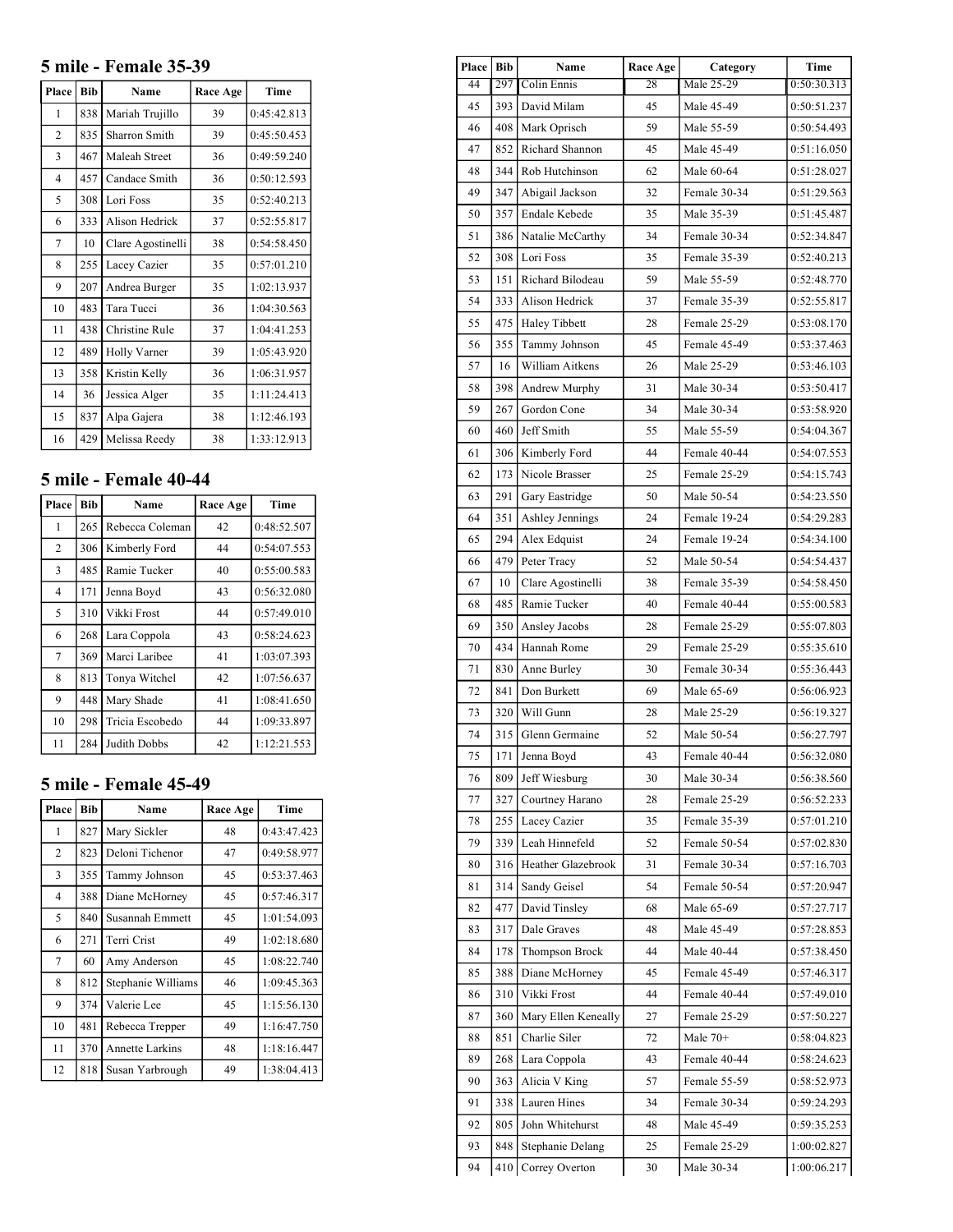## **5 mile - Female 35-39**

| Place          | <b>Bib</b> | Name              | Race Age | Time        |
|----------------|------------|-------------------|----------|-------------|
| 1              | 838        | Mariah Trujillo   | 39       | 0:45:42.813 |
| $\overline{2}$ | 835        | Sharron Smith     | 39       | 0:45:50.453 |
| 3              | 467        | Maleah Street     | 36       | 0:49:59.240 |
| $\overline{4}$ | 457        | Candace Smith     | 36       | 0:50:12.593 |
| 5              | 308        | Lori Foss         | 35       | 0:52:40.213 |
| 6              | 333        | Alison Hedrick    | 37       | 0:52:55.817 |
| 7              | 10         | Clare Agostinelli | 38       | 0:54:58.450 |
| 8              | 255        | Lacey Cazier      | 35       | 0:57:01.210 |
| 9              | 207        | Andrea Burger     | 35       | 1:02:13.937 |
| 10             | 483        | Tara Tucci        | 36       | 1:04:30.563 |
| 11             | 438        | Christine Rule    | 37       | 1:04:41.253 |
| 12             | 489        | Holly Varner      | 39       | 1:05:43.920 |
| 13             | 358        | Kristin Kelly     | 36       | 1:06:31.957 |
| 14             | 36         | Jessica Alger     | 35       | 1:11:24.413 |
| 15             | 837        | Alpa Gajera       | 38       | 1:12:46.193 |
| 16             | 429        | Melissa Reedy     | 38       | 1:33:12.913 |

## **5 mile - Female 40-44**

| Place          | <b>Bib</b> | Name            | Race Age | Time        |
|----------------|------------|-----------------|----------|-------------|
| 1              | 265        | Rebecca Coleman | 42       | 0:48:52.507 |
| $\overline{c}$ | 306        | Kimberly Ford   | 44       | 0:54:07.553 |
| 3              | 485        | Ramie Tucker    | 40       | 0:55:00.583 |
| $\overline{4}$ | 171        | Jenna Boyd      | 43       | 0:56:32.080 |
| 5              | 310        | Vikki Frost     | 44       | 0:57:49.010 |
| 6              | 268        | Lara Coppola    | 43       | 0:58:24.623 |
| 7              | 369        | Marci Laribee   | 41       | 1:03:07.393 |
| 8              | 813        | Tonya Witchel   | 42       | 1:07:56.637 |
| 9              | 448        | Mary Shade      | 41       | 1:08:41.650 |
| 10             | 298        | Tricia Escobedo | 44       | 1:09:33.897 |
| 11             | 284        | Judith Dobbs    | 42       | 1:12:21.553 |

## **5 mile - Female 45-49**

| Place | <b>Bib</b> | Name                   | Race Age | Time        |
|-------|------------|------------------------|----------|-------------|
| 1     | 827        | Mary Sickler           | 48       | 0:43:47.423 |
| 2     | 823        | Deloni Tichenor        | 47       | 0:49:58.977 |
| 3     | 355        | Tammy Johnson          | 45       | 0:53:37.463 |
| 4     | 388        | Diane McHorney         | 45       | 0:57:46.317 |
| 5     | 840        | Susannah Emmett        | 45       | 1:01:54.093 |
| 6     | 271        | Terri Crist            | 49       | 1:02:18.680 |
| 7     | 60         | Amy Anderson           | 45       | 1:08:22.740 |
| 8     | 812        | Stephanie Williams     | 46       | 1:09:45.363 |
| 9     | 374        | Valerie Lee            | 45       | 1:15:56.130 |
| 10    | 481        | Rebecca Trepper        | 49       | 1:16:47.750 |
| 11    | 370        | <b>Annette Larkins</b> | 48       | 1:18:16.447 |
| 12    | 818        | Susan Yarbrough        | 49       | 1:38:04.413 |

 $\overline{\phantom{0}}$ 

| <b>Place</b> | Bib | Name                 | <b>Race Age</b> | Category     | Time        |
|--------------|-----|----------------------|-----------------|--------------|-------------|
| 44           | 297 | Colin Ennis          | 28              | Male 25-29   | 0:50:30.313 |
| 45           | 393 | David Milam          | 45              | Male 45-49   | 0:50:51.237 |
| 46           | 408 | Mark Oprisch         | 59              | Male 55-59   | 0:50:54.493 |
| 47           | 852 | Richard Shannon      | 45              | Male 45-49   | 0:51:16.050 |
| 48           | 344 | Rob Hutchinson       | 62              | Male 60-64   | 0:51:28.027 |
| 49           | 347 | Abigail Jackson      | 32              | Female 30-34 | 0:51:29.563 |
| 50           | 357 | Endale Kebede        | 35              | Male 35-39   | 0:51:45.487 |
| 51           | 386 | Natalie McCarthy     | 34              | Female 30-34 | 0:52:34.847 |
| 52           | 308 | Lori Foss            | 35              | Female 35-39 | 0:52:40.213 |
| 53           | 151 | Richard Bilodeau     | 59              | Male 55-59   | 0:52:48.770 |
| 54           | 333 | Alison Hedrick       | 37              | Female 35-39 | 0:52:55.817 |
| 55           | 475 | <b>Haley Tibbett</b> | 28              | Female 25-29 | 0:53:08.170 |
| 56           | 355 | Tammy Johnson        | 45              | Female 45-49 | 0:53:37.463 |
| 57           | 16  | William Aitkens      | 26              | Male 25-29   | 0:53:46.103 |
| 58           | 398 | Andrew Murphy        | 31              | Male 30-34   | 0:53:50.417 |
| 59           | 267 | Gordon Cone          | 34              | Male 30-34   | 0:53:58.920 |
| 60           | 460 | Jeff Smith           | 55              | Male 55-59   | 0:54:04.367 |
| 61           | 306 | Kimberly Ford        | 44              | Female 40-44 | 0:54:07.553 |
| 62           | 173 | Nicole Brasser       | 25              | Female 25-29 | 0:54:15.743 |
| 63           | 291 | Gary Eastridge       | 50              | Male 50-54   | 0:54:23.550 |
| 64           | 351 | Ashley Jennings      | 24              | Female 19-24 | 0:54:29.283 |
| 65           | 294 | Alex Edquist         | 24              | Female 19-24 | 0:54:34.100 |
| 66           | 479 | Peter Tracy          | 52              | Male 50-54   | 0:54:54.437 |
| 67           | 10  | Clare Agostinelli    | 38              | Female 35-39 | 0:54:58.450 |
| 68           | 485 | Ramie Tucker         | 40              | Female 40-44 | 0:55:00.583 |
| 69           | 350 | Ansley Jacobs        | 28              | Female 25-29 | 0:55:07.803 |
| 70           | 434 | Hannah Rome          | 29              | Female 25-29 | 0:55:35.610 |
| 71           | 830 | Anne Burley          | 30              | Female 30-34 | 0:55:36.443 |
| 72           | 841 | Don Burkett          | 69              | Male 65-69   | 0:56:06.923 |
| 73           | 320 | Will Gunn            | 28              | Male 25-29   | 0:56:19.327 |
| 74           | 315 | Glenn Germaine       | 52              | Male 50-54   | 0:56:27.797 |
| 75           | 171 | Jenna Boyd           | 43              | Female 40-44 | 0:56:32.080 |
| 76           | 809 | Jeff Wiesburg        | 30              | Male 30-34   | 0:56:38.560 |
| 77           | 327 | Courtney Harano      | 28              | Female 25-29 | 0:56:52.233 |
| 78           | 255 | Lacey Cazier         | 35              | Female 35-39 | 0:57:01.210 |
| 79           | 339 | Leah Hinnefeld       | 52              | Female 50-54 | 0:57:02.830 |
| 80           | 316 | Heather Glazebrook   | 31              | Female 30-34 | 0:57:16.703 |
| 81           | 314 | Sandy Geisel         | 54              | Female 50-54 | 0:57:20.947 |
| 82           | 477 | David Tinsley        | 68              | Male 65-69   | 0:57:27.717 |
| 83           | 317 | Dale Graves          | 48              | Male 45-49   | 0:57:28.853 |
| 84           | 178 | Thompson Brock       | 44              | Male 40-44   | 0:57:38.450 |
| 85           | 388 | Diane McHorney       | 45              | Female 45-49 | 0:57:46.317 |
| 86           | 310 | Vikki Frost          | 44              | Female 40-44 | 0:57:49.010 |
| 87           | 360 | Mary Ellen Keneally  | 27              | Female 25-29 | 0:57:50.227 |
| 88           | 851 | Charlie Siler        | 72              | Male $70+$   | 0:58:04.823 |
| 89           | 268 | Lara Coppola         | 43              | Female 40-44 | 0:58:24.623 |
| 90           | 363 | Alicia V King        | 57              | Female 55-59 | 0:58:52.973 |
| 91           | 338 | Lauren Hines         | 34              | Female 30-34 | 0:59:24.293 |
| 92           | 805 | John Whitehurst      | 48              | Male 45-49   | 0:59:35.253 |
| 93           | 848 | Stephanie Delang     | 25              | Female 25-29 | 1:00:02.827 |
| 94           | 410 | Correy Overton       | 30              | Male 30-34   | 1:00:06.217 |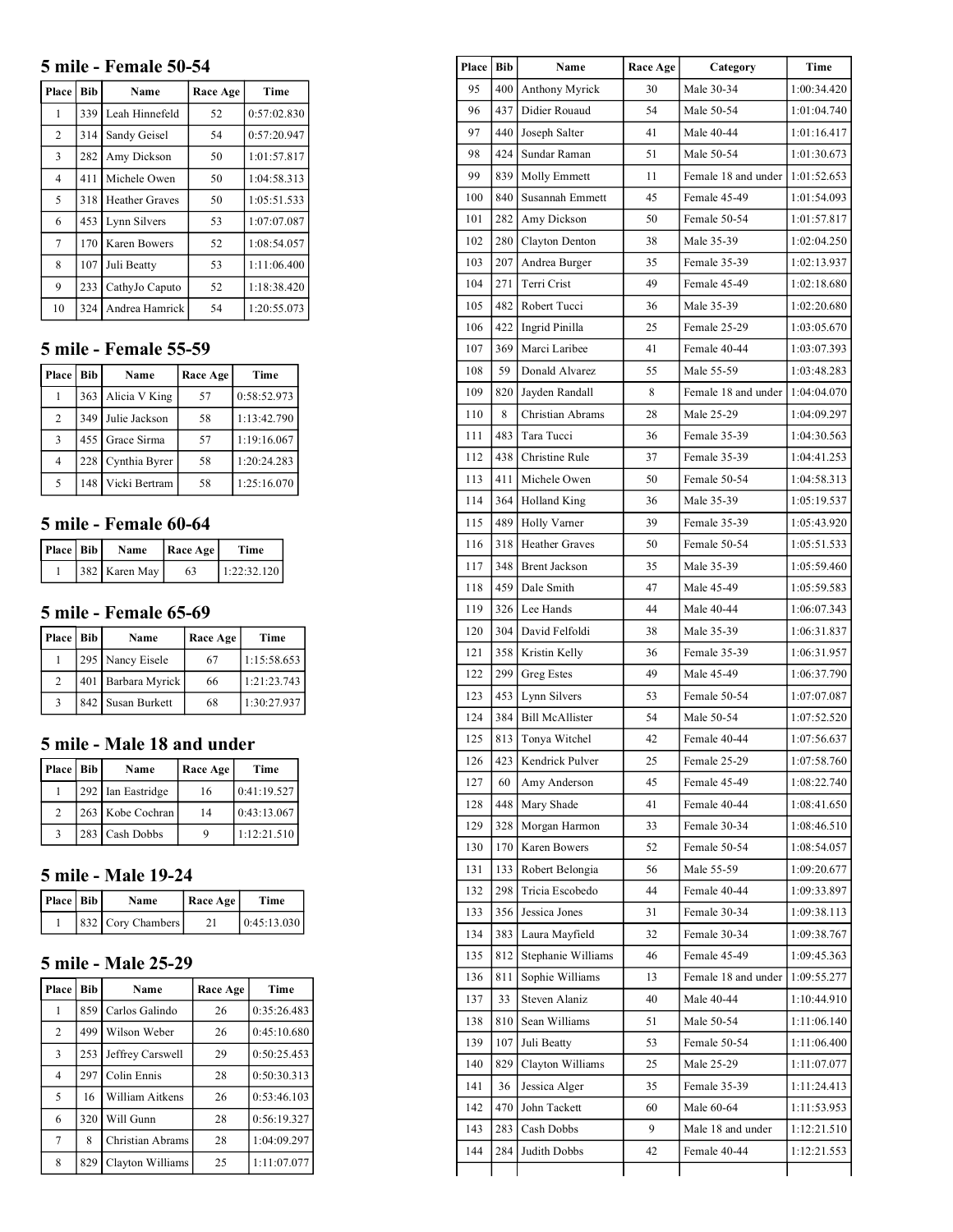#### **5 mile - Female 50-54**

| Place          | <b>Bib</b> | Name                  | Race Age | Time        |
|----------------|------------|-----------------------|----------|-------------|
| 1              | 339        | Leah Hinnefeld        | 52       | 0:57:02.830 |
| $\overline{c}$ | 314        | Sandy Geisel          | 54       | 0:57:20.947 |
| 3              | 282        | Amy Dickson           | 50       | 1:01:57.817 |
| $\overline{4}$ | 411        | Michele Owen          | 50       | 1:04:58.313 |
| 5              | 318        | <b>Heather Graves</b> | 50       | 1:05:51.533 |
| 6              | 453        | Lynn Silvers          | 53       | 1:07:07.087 |
| 7              | 170        | Karen Bowers          | 52       | 1:08:54.057 |
| 8              | 107        | Juli Beatty           | 53       | 1:11:06.400 |
| 9              | 233        | CathyJo Caputo        | 52       | 1:18:38.420 |
| 10             | 324        | Andrea Hamrick        | 54       | 1:20:55.073 |

#### **5 mile - Female 55-59**

| Place   Bib    |     | Name            | Race Age | Time        |
|----------------|-----|-----------------|----------|-------------|
|                | 363 | Alicia V King   | 57       | 0:58:52.973 |
| 2              | 349 | Julie Jackson   | 58       | 1:13:42.790 |
| 3              |     | 455 Grace Sirma | 57       | 1:19:16.067 |
| $\overline{4}$ | 228 | Cynthia Byrer   | 58       | 1:20:24.283 |
| $\sim$         | 148 | Vicki Bertram   | 58       | 1:25:16.070 |

### **5 mile - Female 60-64**

| Place   Bib | <b>Name</b>   | Race Age | Time        |
|-------------|---------------|----------|-------------|
|             | 382 Karen May | 63       | 1:22:32.120 |

## **5 mile - Female 65-69**

| Place   Bib | Name               | Race Age | Time        |
|-------------|--------------------|----------|-------------|
|             | 295 Nancy Eisele   | 67       | 1:15:58.653 |
| 2           | 401 Barbara Myrick | 66       | 1:21:23.743 |
|             | 842 Susan Burkett  | 68       | 1:30:27.937 |

#### **5 mile - Male 18 and under**

| Place   Bib    | Name              | Race Age | Time        |
|----------------|-------------------|----------|-------------|
|                | 292 Ian Eastridge | 16       | 0:41:19.527 |
| $\mathfrak{D}$ | 263 Kobe Cochran  | 14       | 0:43:13.067 |
| $\mathcal{R}$  | 283 Cash Dobbs    |          | 1:12:21.510 |

## **5 mile - Male 19-24**

| Place   Bib | Name              | Race Age | Time        |
|-------------|-------------------|----------|-------------|
|             | 832 Cory Chambers |          | 0.45:13.030 |

#### **5 mile - Male 25-29**

| Place          | Bib | Name             | Race Age | <b>Time</b> |
|----------------|-----|------------------|----------|-------------|
|                | 859 | Carlos Galindo   | 26       | 0:35:26.483 |
| $\overline{2}$ | 499 | Wilson Weber     | 26       | 0:45:10.680 |
| 3              | 253 | Jeffrey Carswell | 29       | 0:50:25.453 |
| $\overline{4}$ | 297 | Colin Ennis      | 28       | 0:50:30.313 |
| 5              | 16  | William Aitkens  | 26       | 0:53:46.103 |
| 6              | 320 | Will Gunn        | 28       | 0:56:19.327 |
| 7              | 8   | Christian Abrams | 28       | 1:04:09.297 |
| 8              | 829 | Clayton Williams | 25       | 1:11:07.077 |

| Place | Bib | Name                   | Race Age | Category            | Time        |
|-------|-----|------------------------|----------|---------------------|-------------|
| 95    | 400 | Anthony Myrick         | 30       | Male 30-34          | 1:00:34.420 |
| 96    | 437 | Didier Rouaud          | 54       | Male 50-54          | 1:01:04.740 |
| 97    | 440 | Joseph Salter          | 41       | Male 40-44          | 1:01:16.417 |
| 98    | 424 | Sundar Raman           | 51       | Male 50-54          | 1:01:30.673 |
| 99    | 839 | Molly Emmett           | 11       | Female 18 and under | 1:01:52.653 |
| 100   | 840 | Susannah Emmett        | 45       | Female 45-49        | 1:01:54.093 |
| 101   | 282 | Amy Dickson            | 50       | Female 50-54        | 1:01:57.817 |
| 102   | 280 | Clayton Denton         | 38       | Male 35-39          | 1:02:04.250 |
| 103   | 207 | Andrea Burger          | 35       | Female 35-39        | 1:02:13.937 |
| 104   | 271 | Terri Crist            | 49       | Female 45-49        | 1:02:18.680 |
| 105   | 482 | Robert Tucci           | 36       | Male 35-39          | 1:02:20.680 |
| 106   | 422 | Ingrid Pinilla         | 25       | Female 25-29        | 1:03:05.670 |
| 107   | 369 | Marci Laribee          | 41       | Female 40-44        | 1:03:07.393 |
| 108   | 59  | Donald Alvarez         | 55       | Male 55-59          | 1:03:48.283 |
| 109   | 820 | Jayden Randall         | 8        | Female 18 and under | 1:04:04.070 |
| 110   | 8   | Christian Abrams       | 28       | Male 25-29          | 1:04:09.297 |
| 111   | 483 | Tara Tucci             | 36       | Female 35-39        | 1:04:30.563 |
| 112   | 438 | Christine Rule         | 37       | Female 35-39        | 1:04:41.253 |
| 113   | 411 | Michele Owen           | 50       | Female 50-54        | 1:04:58.313 |
| 114   |     | 364 Holland King       | 36       | Male 35-39          | 1:05:19.537 |
| 115   | 489 | Holly Varner           | 39       | Female 35-39        | 1:05:43.920 |
| 116   | 318 | Heather Graves         | 50       | Female 50-54        | 1:05:51.533 |
| 117   | 348 | <b>Brent Jackson</b>   | 35       | Male 35-39          | 1:05:59.460 |
| 118   | 459 | Dale Smith             | 47       | Male 45-49          | 1:05:59.583 |
| 119   | 326 | Lee Hands              | 44       | Male 40-44          | 1:06:07.343 |
| 120   | 304 | David Felfoldi         | 38       | Male 35-39          | 1:06:31.837 |
| 121   | 358 | Kristin Kelly          | 36       | Female 35-39        | 1:06:31.957 |
| 122   | 299 | <b>Greg Estes</b>      | 49       | Male 45-49          | 1:06:37.790 |
| 123   | 453 | Lynn Silvers           | 53       | Female 50-54        | 1:07:07.087 |
| 124   | 384 | <b>Bill McAllister</b> | 54       | Male 50-54          | 1:07:52.520 |
| 125   | 813 | Tonya Witchel          | 42       | Female 40-44        | 1:07:56.637 |
| 126   |     | 423   Kendrick Pulver  | 25       | Female 25-29        | 1:07:58.760 |
| 127   | 60  | Amy Anderson           | 45       | Female 45-49        | 1:08:22.740 |
| 128   | 448 | Mary Shade             | 41       | Female 40-44        | 1:08:41.650 |
| 129   | 328 | Morgan Harmon          | 33       | Female 30-34        | 1:08:46.510 |
| 130   | 170 | Karen Bowers           | 52       | Female 50-54        | 1:08:54.057 |
| 131   | 133 | Robert Belongia        | 56       | Male 55-59          | 1:09:20.677 |
| 132   | 298 | Tricia Escobedo        | 44       | Female 40-44        | 1:09:33.897 |
| 133   | 356 | Jessica Jones          | 31       | Female 30-34        | 1:09:38.113 |
| 134   | 383 | Laura Mayfield         | 32       | Female 30-34        | 1:09:38.767 |
| 135   | 812 | Stephanie Williams     | 46       | Female 45-49        | 1:09:45.363 |
| 136   | 811 | Sophie Williams        | 13       | Female 18 and under | 1:09:55.277 |
| 137   | 33  | Steven Alaniz          | 40       | Male 40-44          | 1:10:44.910 |
| 138   | 810 | Sean Williams          | 51       | Male 50-54          | 1:11:06.140 |
| 139   | 107 | Juli Beatty            | 53       | Female 50-54        | 1:11:06.400 |
| 140   | 829 | Clayton Williams       | 25       | Male 25-29          | 1:11:07.077 |
| 141   | 36  | Jessica Alger          | 35       | Female 35-39        | 1:11:24.413 |
| 142   | 470 | John Tackett           | 60       | Male 60-64          | 1:11:53.953 |
| 143   | 283 | Cash Dobbs             | 9        | Male 18 and under   | 1:12:21.510 |
| 144   | 284 | Judith Dobbs           | 42       | Female 40-44        | 1:12:21.553 |
|       |     |                        |          |                     |             |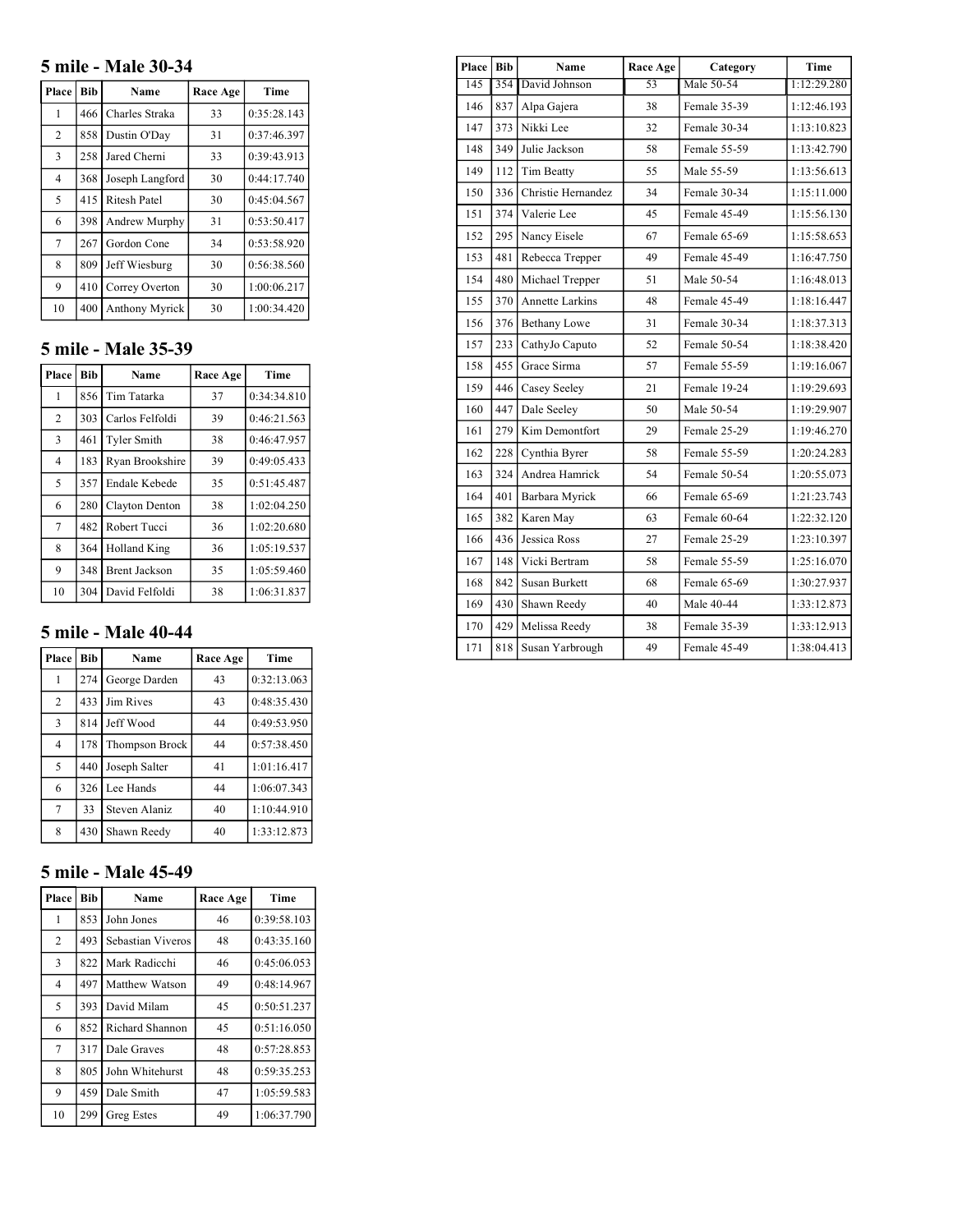## **5 mile - Male 30-34**

| Place          | <b>Bib</b> | Name                | Race Age | Time        |
|----------------|------------|---------------------|----------|-------------|
| 1              | 466        | Charles Straka      | 33       | 0:35:28.143 |
| $\overline{2}$ | 858        | Dustin O'Day        | 31       | 0:37:46.397 |
| 3              | 258        | Jared Cherni        | 33       | 0:39:43.913 |
| $\overline{4}$ | 368        | Joseph Langford     | 30       | 0:44:17.740 |
| 5              | 415        | <b>Ritesh Patel</b> | 30       | 0:45:04.567 |
| 6              | 398        | Andrew Murphy       | 31       | 0:53:50.417 |
| 7              | 267        | Gordon Cone         | 34       | 0:53:58.920 |
| 8              | 809        | Jeff Wiesburg       | 30       | 0:56:38.560 |
| 9              | 410        | Correy Overton      | 30       | 1:00:06.217 |
| 10             | 400        | Anthony Myrick      | 30       | 1:00:34.420 |

## **5 mile - Male 35-39**

| Place          | <b>Bib</b> | Name                 | Race Age | Time        |
|----------------|------------|----------------------|----------|-------------|
| 1              | 856        | Tim Tatarka          | 37       | 0:34:34.810 |
| $\overline{2}$ | 303        | Carlos Felfoldi      | 39       | 0:46:21.563 |
| 3              | 461        | <b>Tyler Smith</b>   | 38       | 0:46:47.957 |
| 4              | 183        | Ryan Brookshire      | 39       | 0:49:05.433 |
| 5              | 357        | <b>Endale Kebede</b> | 35       | 0:51:45.487 |
| 6              | 280        | Clayton Denton       | 38       | 1:02:04.250 |
| 7              | 482        | Robert Tucci         | 36       | 1:02:20.680 |
| 8              | 364        | <b>Holland King</b>  | 36       | 1:05:19.537 |
| 9              | 348        | <b>Brent Jackson</b> | 35       | 1:05:59.460 |
| 10             | 304        | David Felfoldi       | 38       | 1:06:31.837 |

## **5 mile - Male 40-44**

| Place          | <b>Bib</b> | Name           | Race Age | Time        |
|----------------|------------|----------------|----------|-------------|
| 1              | 274        | George Darden  | 43       | 0:32:13.063 |
| $\overline{2}$ | 433        | Jim Rives      | 43       | 0:48:35.430 |
| 3              | 814        | Jeff Wood      | 44       | 0:49:53.950 |
| 4              | 178        | Thompson Brock | 44       | 0:57:38.450 |
| 5              | 440        | Joseph Salter  | 41       | 1:01:16.417 |
| 6              | 326        | Lee Hands      | 44       | 1:06:07.343 |
| 7              | 33         | Steven Alaniz  | 40       | 1:10:44.910 |
| 8              | 430        | Shawn Reedy    | 40       | 1:33:12.873 |

## **5 mile - Male 45-49**

| Place          | <b>Bib</b> | Name              | Race Age | Time        |
|----------------|------------|-------------------|----------|-------------|
| 1              | 853        | John Jones        | 46       | 0:39:58.103 |
| $\overline{c}$ | 493        | Sebastian Viveros | 48       | 0:43:35.160 |
| 3              | 822        | Mark Radicchi     | 46       | 0:45:06.053 |
| 4              | 497        | Matthew Watson    | 49       | 0:48:14.967 |
| 5              | 393        | David Milam       | 45       | 0:50:51.237 |
| 6              | 852        | Richard Shannon   | 45       | 0:51:16.050 |
| 7              | 317        | Dale Graves       | 48       | 0:57:28.853 |
| 8              | 805        | John Whitehurst   | 48       | 0:59:35.253 |
| 9              | 459        | Dale Smith        | 47       | 1:05:59.583 |
| 10             | 299        | Greg Estes        | 49       | 1:06:37.790 |

| <b>Place</b> | <b>Bib</b> | Name                   | Race Age | Category     | Time        |
|--------------|------------|------------------------|----------|--------------|-------------|
| 145          | 354        | David Johnson          | 53       | Male 50-54   | 1:12:29.280 |
| 146          | 837        | Alpa Gajera            | 38       | Female 35-39 | 1:12:46.193 |
| 147          | 373        | Nikki Lee              | 32       | Female 30-34 | 1:13:10.823 |
| 148          | 349        | Julie Jackson          | 58       | Female 55-59 | 1:13:42.790 |
| 149          | 112        | Tim Beatty             | 55       | Male 55-59   | 1:13:56.613 |
| 150          | 336        | Christie Hernandez     | 34       | Female 30-34 | 1:15:11.000 |
| 151          | 374        | Valerie Lee            | 45       | Female 45-49 | 1:15:56.130 |
| 152          | 295        | Nancy Eisele           | 67       | Female 65-69 | 1:15:58.653 |
| 153          | 481        | Rebecca Trepper        | 49       | Female 45-49 | 1:16:47.750 |
| 154          | 480        | Michael Trepper        | 51       | Male 50-54   | 1:16:48.013 |
| 155          | 370        | <b>Annette Larkins</b> | 48       | Female 45-49 | 1:18:16.447 |
| 156          | 376        | Bethany Lowe           | 31       | Female 30-34 | 1:18:37.313 |
| 157          | 233        | CathyJo Caputo         | 52       | Female 50-54 | 1:18:38.420 |
| 158          | 455        | Grace Sirma            | 57       | Female 55-59 | 1:19:16.067 |
| 159          | 446        | Casey Seeley           | 21       | Female 19-24 | 1:19:29.693 |
| 160          | 447        | Dale Seeley            | 50       | Male 50-54   | 1:19:29.907 |
| 161          | 279        | Kim Demontfort         | 29       | Female 25-29 | 1:19:46.270 |
| 162          | 228        | Cynthia Byrer          | 58       | Female 55-59 | 1:20:24.283 |
| 163          | 324        | Andrea Hamrick         | 54       | Female 50-54 | 1:20:55.073 |
| 164          | 401        | Barbara Myrick         | 66       | Female 65-69 | 1:21:23.743 |
| 165          | 382        | Karen May              | 63       | Female 60-64 | 1:22:32.120 |
| 166          | 436        | Jessica Ross           | 27       | Female 25-29 | 1:23:10.397 |
| 167          | 148        | Vicki Bertram          | 58       | Female 55-59 | 1:25:16.070 |
| 168          | 842        | Susan Burkett          | 68       | Female 65-69 | 1:30:27.937 |
| 169          | 430        | Shawn Reedy            | 40       | Male 40-44   | 1:33:12.873 |
| 170          | 429        | Melissa Reedy          | 38       | Female 35-39 | 1:33:12.913 |
| 171          | 818        | Susan Yarbrough        | 49       | Female 45-49 | 1:38:04.413 |